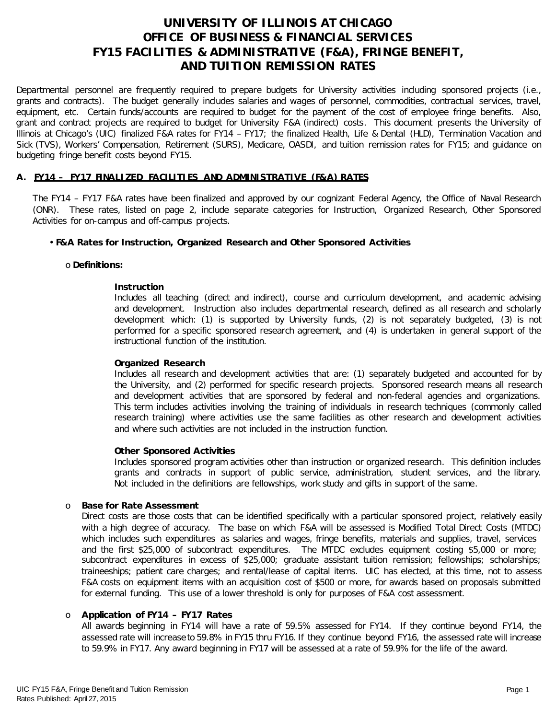# **UNIVERSITY OF ILLINOIS AT CHICAGO OFFICE OF BUSINESS & FINANCIAL SERVICES FY15 FACILITIES & ADMINISTRATIVE (F&A), FRINGE BENEFIT, AND TUITION REMISSION RATES**

Departmental personnel are frequently required to prepare budgets for University activities including sponsored projects (i.e., grants and contracts). The budget generally includes salaries and wages of personnel, commodities, contractual services, travel, equipment, etc. Certain funds/accounts are required to budget for the payment of the cost of employee fringe benefits. Also, grant and contract projects are required to budget for University F&A (indirect) costs. This document presents the University of Illinois at Chicago's (UIC) finalized F&A rates for FY14 – FY17; the finalized Health, Life & Dental (HLD), Termination Vacation and Sick (TVS), Workers' Compensation, Retirement (SURS), Medicare, OASDI, and tuition remission rates for FY15; and guidance on budgeting fringe benefit costs beyond FY15.

### **A. FY14 – FY17 FINALIZED FACILITIES AND ADMINISTRATIVE (F&A) RATES**

The FY14 – FY17 F&A rates have been finalized and approved by our cognizant Federal Agency, the Office of Naval Research (ONR). These rates, listed on page 2, include separate categories for Instruction, Organized Research, Other Sponsored Activities for on-campus and off-campus projects.

### • **F&A Rates for Instruction, Organized Research and Other Sponsored Activities**

#### o **Definitions:**

#### **Instruction**

Includes all teaching (direct and indirect), course and curriculum development, and academic advising and development. Instruction also includes departmental research, defined as all research and scholarly development which: (1) is supported by University funds, (2) is not separately budgeted, (3) is not performed for a specific sponsored research agreement, and (4) is undertaken in general support of the instructional function of the institution.

#### **Organized Research**

Includes all research and development activities that are: (1) separately budgeted and accounted for by the University, and (2) performed for specific research projects. Sponsored research means all research and development activities that are sponsored by federal and non-federal agencies and organizations. This term includes activities involving the training of individuals in research techniques (commonly called research training) where activities use the same facilities as other research and development activities and where such activities are not included in the instruction function.

#### **Other Sponsored Activities**

Includes sponsored program activities other than instruction or organized research. This definition includes grants and contracts in support of public service, administration, student services, and the library. Not included in the definitions are fellowships, work study and gifts in support of the same.

#### o **Base for Rate Assessment**

Direct costs are those costs that can be identified specifically with a particular sponsored project, relatively easily with a high degree of accuracy. The base on which F&A will be assessed is Modified Total Direct Costs (MTDC) which includes such expenditures as salaries and wages, fringe benefits, materials and supplies, travel, services and the first \$25,000 of subcontract expenditures. The MTDC excludes equipment costing \$5,000 or more; subcontract expenditures in excess of \$25,000; graduate assistant tuition remission; fellowships; scholarships; traineeships; patient care charges; and rental/lease of capital items. UIC has elected, at this time, not to assess F&A costs on equipment items with an acquisition cost of \$500 or more, for awards based on proposals submitted for external funding. This use of a lower threshold is only for purposes of F&A cost assessment.

#### o **Application of FY14 – FY17 Rates**

All awards beginning in FY14 will have a rate of 59.5% assessed for FY14. If they continue beyond FY14, the assessed rate will increase to 59.8% in FY15 thru FY16. If they continue beyond FY16, the assessed rate will increase to 59.9% in FY17. Any award beginning in FY17 will be assessed at a rate of 59.9% for the life of the award.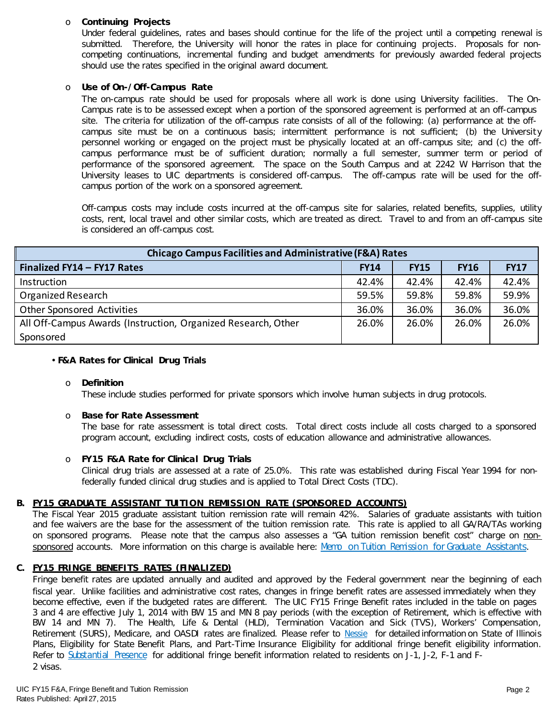### o **Continuing Projects**

Under federal guidelines, rates and bases should continue for the life of the project until a competing renewal is submitted. Therefore, the University will honor the rates in place for continuing projects. Proposals for noncompeting continuations, incremental funding and budget amendments for previously awarded federal projects should use the rates specified in the original award document.

## o **Use of On-/Off-Campus Rate**

The on-campus rate should be used for proposals where all work is done using University facilities. The On-Campus rate is to be assessed except when a portion of the sponsored agreement is performed at an off-campus site. The criteria for utilization of the off-campus rate consists of all of the following: (a) performance at the offcampus site must be on a continuous basis; intermittent performance is not sufficient; (b) the University personnel working or engaged on the project must be physically located at an off-campus site; and (c) the offcampus performance must be of sufficient duration; normally a full semester, summer term or period of performance of the sponsored agreement. The space on the South Campus and at 2242 W Harrison that the University leases to UIC departments is considered off-campus. The off-campus rate will be used for the offcampus portion of the work on a sponsored agreement.

Off-campus costs may include costs incurred at the off-campus site for salaries, related benefits, supplies, utility costs, rent, local travel and other similar costs, which are treated as direct. Travel to and from an off-campus site is considered an off-campus cost.

| <b>Chicago Campus Facilities and Administrative (F&amp;A) Rates</b> |             |             |             |             |  |  |  |
|---------------------------------------------------------------------|-------------|-------------|-------------|-------------|--|--|--|
| Finalized FY14 - FY17 Rates                                         | <b>FY14</b> | <b>FY15</b> | <b>FY16</b> | <b>FY17</b> |  |  |  |
| Instruction                                                         | 42.4%       | 42.4%       | 42.4%       | 42.4%       |  |  |  |
| Organized Research                                                  | 59.5%       | 59.8%       | 59.8%       | 59.9%       |  |  |  |
| Other Sponsored Activities                                          | 36.0%       | 36.0%       | 36.0%       | 36.0%       |  |  |  |
| All Off-Campus Awards (Instruction, Organized Research, Other       | 26.0%       | 26.0%       | 26.0%       | 26.0%       |  |  |  |
| Sponsored                                                           |             |             |             |             |  |  |  |

#### • **F&A Rates for Clinical Drug Trials**

#### o **Definition**

These include studies performed for private sponsors which involve human subjects in drug protocols.

#### o **Base for Rate Assessment**

The base for rate assessment is total direct costs. Total direct costs include all costs charged to a sponsored program account, excluding indirect costs, costs of education allowance and administrative allowances.

#### o **FY15 F&A Rate for Clinical Drug Trials**

Clinical drug trials are assessed at a rate of 25.0%. This rate was established during Fiscal Year 1994 for nonfederally funded clinical drug studies and is applied to Total Direct Costs (TDC).

#### **B. FY15 GRADUA TE ASSISTANT TUITION REMISSION RATE (SPONSORED ACCOUNTS)**

The Fiscal Year 2015 graduate assistant tuition remission rate will remain 42%. Salaries of graduate assistants with tuition and fee waivers are the base for the assessment of the tuition remission rate. This rate is applied to all GA/RA/TAs working on sponsored programs. Please note that the campus also assesses a "GA tuition remission benefit cost" charge on non-sponsored accounts. More information on this charge is available here: [Memo on Tuition Remission for Graduate](https://www.obfs.uillinois.edu/common/pages/DisplayFile.aspx?itemId=436386) Assistants.

#### **C. FY15 FRINGE BENEFITS RATES (FINALIZED)**

Fringe benefit rates are updated annually and audited and approved by the Federal government near the beginning of each fiscal year. Unlike facilities and administrative cost rates, changes in fringe benefit rates are assessed immediately when they become effective, even if the budgeted rates are different. The UIC FY15 Fringe Benefit rates included in the table on pages 3 and 4 are effective July 1, 2014 with BW 15 and MN 8 pay periods (with the exception of Retirement, which is effective with BW 14 and MN 7). The Health, Life & Dental (HLD), Termination Vacation and Sick (TVS), Workers' Compensation, Retirement (SURS), Medicare, and OASDI rates are finalized. Please refer to [Nessie](http://nessie.uihr.uillinois.edu/cf/benefits/) for detailed information on State of Illinois Plans, Eligibility for State Benefit Plans, and Part-Time Insurance Eligibility for additional fringe benefit eligibility information. Refer to [Substantial Presence f](http://www.uic.edu/com/gme/rpm_comp___benefits.htm#real_substantial_pres)or additional fringe benefit information related to residents on J-1, J-2, F-1 and F-2 visas.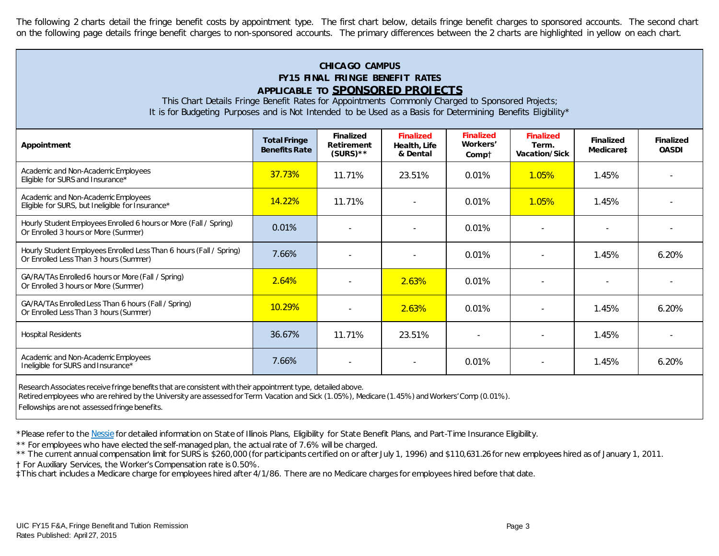The following 2 charts detail the fringe benefit costs by appointment type. The first chart below, details fringe benefit charges to sponsored accounts. The second chart on the following page details fringe benefit charges to non-sponsored accounts. The primary differences between the 2 charts are highlighted in yellow on each chart.

# **CHICA GO CAMPUS FY15 FINAL FRINGE BENEFIT RATES APPLICABLE TO SPONSORED PROJECTS**

This Chart Details Fringe Benefit Rates for Appointments Commonly Charged to Sponsored Projects; It is for Budgeting Purposes and is Not Intended to be Used as a Basis for Determining Benefits Eligibility\*

| Appointment                                                                                                   | <b>Total Fringe</b><br><b>Benefits Rate</b> | <b>Finalized</b><br><b>Retirement</b><br>$(SURS)$ ** | <b>Finalized</b><br>Health, Life<br>& Dental | <b>Finalized</b><br>Workers'<br>Compt | <b>Finalized</b><br>Term.<br>Vacation/Sick | <b>Finalized</b><br>Medicare‡ | <b>Finalized</b><br><b>OASDI</b> |
|---------------------------------------------------------------------------------------------------------------|---------------------------------------------|------------------------------------------------------|----------------------------------------------|---------------------------------------|--------------------------------------------|-------------------------------|----------------------------------|
| Academic and Non-Academic Employees<br>Eligible for SURS and Insurance*                                       | 37.73%                                      | 11.71%                                               | 23.51%                                       | 0.01%                                 | $1.05\%$                                   | 1.45%                         |                                  |
| Academic and Non-Academic Employees<br>Eligible for SURS, but Ineligible for Insurance*                       | 14.22%                                      | 11.71%                                               |                                              | 0.01%                                 | $1.05\%$                                   | 1.45%                         |                                  |
| Hourly Student Employees Enrolled 6 hours or More (Fall / Spring)<br>Or Enrolled 3 hours or More (Summer)     | 0.01%                                       |                                                      |                                              | 0.01%                                 |                                            |                               |                                  |
| Hourly Student Employees Enrolled Less Than 6 hours (Fall / Spring)<br>Or Enrolled Less Than 3 hours (Summer) | 7.66%                                       |                                                      |                                              | 0.01%                                 |                                            | 1.45%                         | 6.20%                            |
| GA/RA/TAs Enrolled 6 hours or More (Fall / Spring)<br>Or Enrolled 3 hours or More (Summer)                    | 2.64%                                       |                                                      | 2.63%                                        | 0.01%                                 |                                            |                               |                                  |
| GA/RA/TAs Enrolled Less Than 6 hours (Fall / Spring)<br>Or Enrolled Less Than 3 hours (Summer)                | <b>10.29%</b>                               |                                                      | 2.63%                                        | 0.01%                                 |                                            | 1.45%                         | 6.20%                            |
| <b>Hospital Residents</b>                                                                                     | 36.67%                                      | 11.71%                                               | 23.51%                                       |                                       |                                            | 1.45%                         |                                  |
| Academic and Non-Academic Employees<br>Ineligible for SURS and Insurance*                                     | 7.66%                                       |                                                      |                                              | 0.01%                                 |                                            | 1.45%                         | $6.20\%$                         |

Research Associates receive fringe benefits that are consistent with their appointment type, detailed above.

Retired employees who are rehired by the University are assessed for Term. Vacation and Sick (1.05%), Medicare (1.45%) and Workers' Comp (0.01%).

Fellowships are not assessed fringe benefits.

\*Please refer to th[e Nessie](http://nessie.uihr.uillinois.edu/cf/benefits/) for detailed information on State of Illinois Plans, Eligibility for State Benefit Plans, and Part-Time Insurance Eligibility.

\*\* For employees who have elected the self-managed plan, the actual rate of 7.6% will be charged.

\*\* The current annual compensation limit for SURS is \$260,000 (for participants certified on or after July 1, 1996) and \$110,631.26 for new employees hired as of January 1, 2011.

† For Auxiliary Services, the Worker's Compensation rate is 0.50%.

‡This chart includes a Medicare charge for employees hired after 4/1/86. There are no Medicare charges for employees hired before that date.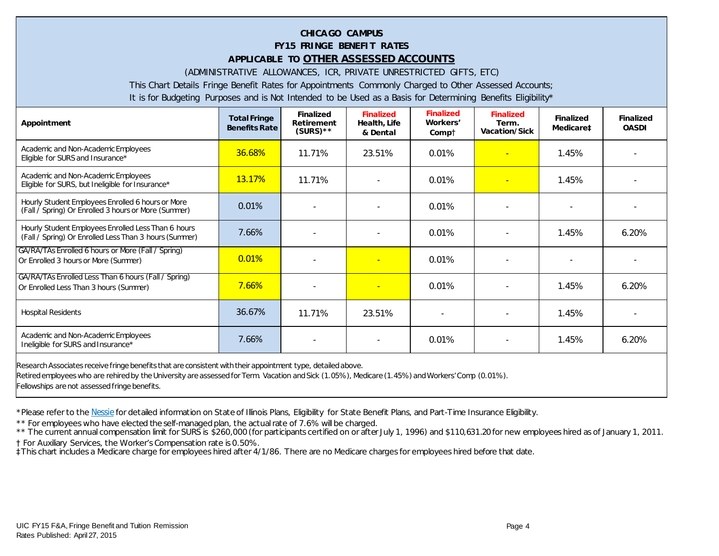## **CHICA GO CAMPUS FY15 FRINGE BENEFIT RATES APPLICABLE TO OTHER ASSESSED ACCOUNTS**

(ADMINISTRATIVE ALLOWANCES, ICR, PRIVATE UNRESTRICTED GIFTS, ETC)

This Chart Details Fringe Benefit Rates for Appointments Commonly Charged to Other Assessed Accounts;

It is for Budgeting Purposes and is Not Intended to be Used as a Basis for Determining Benefits Eligibility\*

| Appointment                                                                                                   | <b>Total Fringe</b><br><b>Benefits Rate</b> | <b>Finalized</b><br><b>Retirement</b><br>$(SURS)$ ** | <b>Finalized</b><br>Health, Life<br>& Dental | <b>Finalized</b><br>Workers'<br>Comp† | <b>Finalized</b><br>Term.<br><b>Vacation/Sick</b> | <b>Finalized</b><br>Medicare‡ | <b>Finalized</b><br><b>OASDI</b> |
|---------------------------------------------------------------------------------------------------------------|---------------------------------------------|------------------------------------------------------|----------------------------------------------|---------------------------------------|---------------------------------------------------|-------------------------------|----------------------------------|
| Academic and Non-Academic Employees<br>Eligible for SURS and Insurance*                                       | 36.68%                                      | 11.71%                                               | 23.51%                                       | 0.01%                                 |                                                   | 1.45%                         |                                  |
| Academic and Non-Academic Employees<br>Eligible for SURS, but Ineligible for Insurance*                       | <b>13.17%</b>                               | 11.71%                                               |                                              | 0.01%                                 |                                                   | 1.45%                         |                                  |
| Hourly Student Employees Enrolled 6 hours or More<br>(Fall / Spring) Or Enrolled 3 hours or More (Summer)     | 0.01%                                       |                                                      |                                              | 0.01%                                 | $\blacksquare$                                    |                               |                                  |
| Hourly Student Employees Enrolled Less Than 6 hours<br>(Fall / Spring) Or Enrolled Less Than 3 hours (Summer) | 7.66%                                       |                                                      | $\overline{a}$                               | 0.01%                                 | $\blacksquare$                                    | 1.45%                         | $6.20\%$                         |
| GA/RA/TAs Enrolled 6 hours or More (Fall / Spring)<br>Or Enrolled 3 hours or More (Summer)                    | 0.01%                                       |                                                      |                                              | 0.01%                                 | $\blacksquare$                                    |                               |                                  |
| GA/RA/TAs Enrolled Less Than 6 hours (Fall / Spring)<br>Or Enrolled Less Than 3 hours (Summer)                | 7.66%                                       |                                                      |                                              | 0.01%                                 | $\blacksquare$                                    | 1.45%                         | $6.20\%$                         |
| <b>Hospital Residents</b>                                                                                     | 36.67%                                      | 11.71%                                               | 23.51%                                       |                                       | $\overline{\phantom{a}}$                          | 1.45%                         |                                  |
| Academic and Non-Academic Employees<br>Ineligible for SURS and Insurance*                                     | 7.66%                                       |                                                      |                                              | 0.01%                                 | $\overline{\phantom{a}}$                          | 1.45%                         | 6.20%                            |
| Research Associates receive fringe benefits that are consistent with their appointment type, detailed above.  |                                             |                                                      |                                              |                                       |                                                   |                               |                                  |

Retired employees who are rehired by the University are assessed for Term. Vacation and Sick (1.05%), Medicare (1.45%) and Workers' Comp (0.01%).

Fellowships are not assessed fringe benefits.

\*Please refer to th[e Nessie](http://nessie.uihr.uillinois.edu/cf/benefits/) for detailed information on State of Illinois Plans, Eligibility for State Benefit Plans, and Part-Time Insurance Eligibility.

\*\* For employees who have elected the self-managed plan, the actual rate of 7.6% will be charged.

\*\* The current annual compensation limit for SURS is \$260,000 (for participants certified on or after July 1, 1996) and \$110,631.20 for new employees hired as of January 1, 2011.

† For Auxiliary Services, the Worker's Compensation rate is 0.50%.

‡This chart includes a Medicare charge for employees hired after 4/1/86. There are no Medicare charges for employees hired before that date.